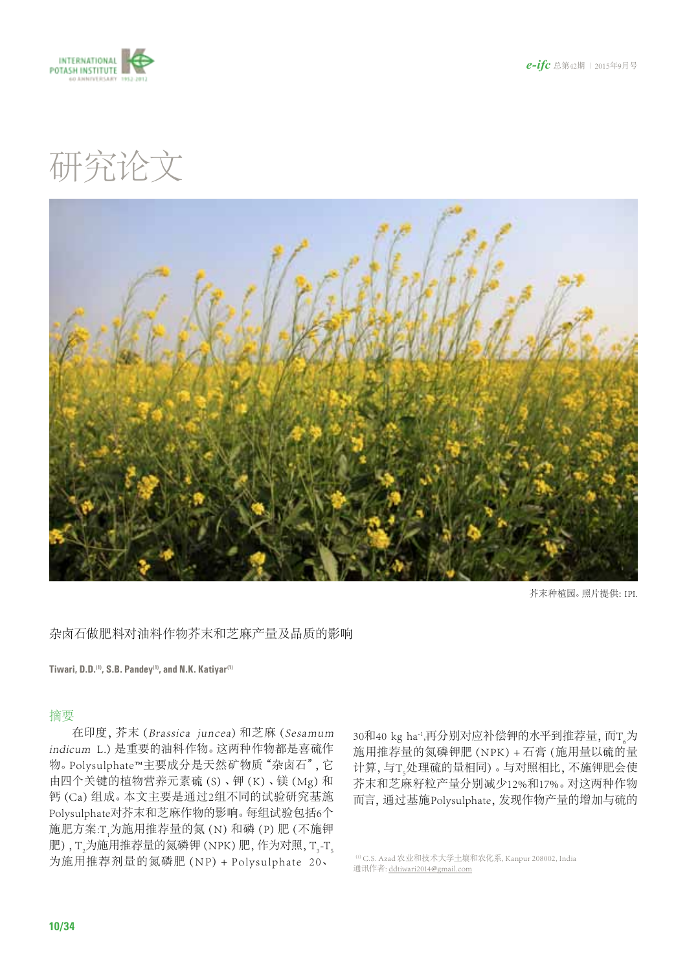



研究论文



芥末种植园。照片提供:IPI.

杂卤石做肥料对油料作物芥末和芝麻产量及品质的影响

**Tiwari, D.D.(1), S.B. Pandey(1), and N.K. Katiyar(1)**

### 摘要

在印度,芥末(Brassica juncea)和芝麻(Sesamum indicum L.)是重要的油料作物。这两种作物都是喜硫作 物。Polysulphate™主要成分是天然矿物质"杂卤石",它 由四个关键的植物营养元素硫(S)、钾(K)、镁(Mg)和 钙(Ca)组成。本文主要是通过2组不同的试验研究基施 Polysulphate对芥末和芝麻作物的影响。每组试验包括6个 施肥方案:T<sub>1</sub>为施用推荐量的氮 (N) 和磷 (P) 肥 (不施钾 肥) , T  $_2$ 为施用推荐量的氮磷钾 (NPK) 肥, 作为对照, T  $_3$ -T  $_5$ 为施用推荐剂量的氮磷肥 (NP) + Polysulphate 20、

30和40 kg ha<sup>-1</sup>,再分别对应补偿钾的水平到推荐量, 而T<sub>6</sub>为 施用推荐量的氮磷钾肥(NPK)+ 石膏(施用量以硫的量 计算, 与T<sub>s</sub>处理硫的量相同) 。与对照相比, 不施钾肥会使 芥末和芝麻籽粒产量分别减少12%和17%。对这两种作物 而言,通过基施Polysulphate,发现作物产量的增加与硫的

(1)C.S. Azad 农业和技术大学土壤和农化系, Kanpur 208002, India 通讯作者: [ddtiwari2014@gmail.com](mailto:ddtiwari2014%40gmail.com?subject=)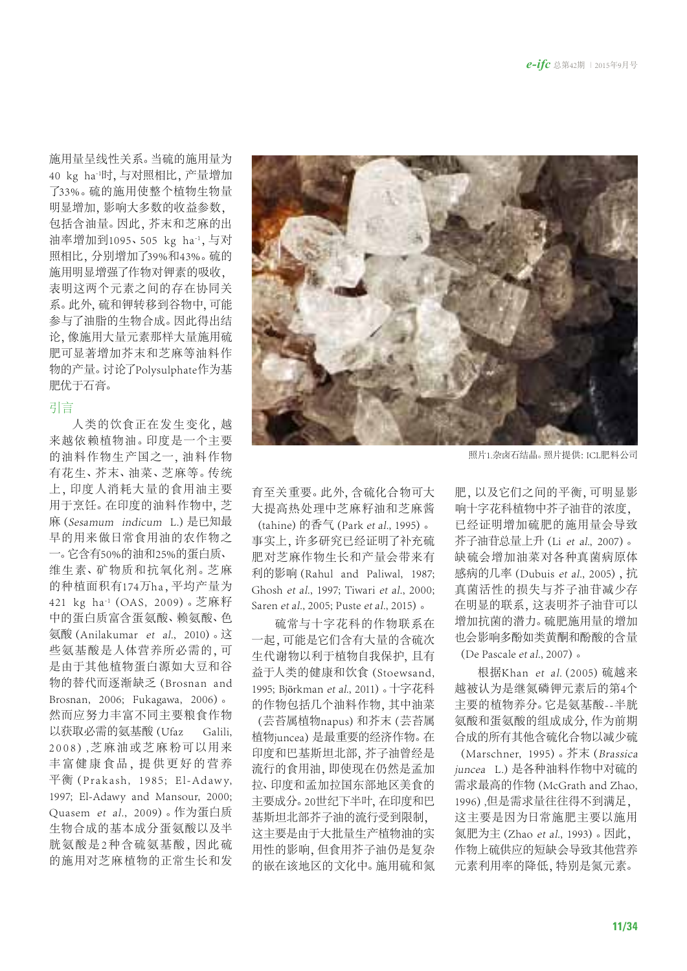施用量呈线性关系。当硫的施用量为 40 kg ha-1时,与对照相比,产量增加 了33%。硫的施用使整个植物生物量 明显增加,影响大多数的收益参数, 包括含油量。因此,芥末和芝麻的出 油率增加到1095、505 kg ha<sup>-1</sup>,与对 照相比,分别增加了39%和43%。硫的 施用明显增强了作物对钾素的吸收, 表明这两个元素之间的存在协同关 系。此外,硫和钾转移到谷物中,可能 参与了油脂的生物合成。因此得出结 论,像施用大量元素那样大量施用硫 肥可显著增加芥末和芝麻等油料作 物的产量。讨论了Polysulphate作为基 肥优于石膏。

# 引言

人类的饮食正在发生变化, 越 来越依赖植物油。印度是一个主要 的油料 作物生 产国之一,油料 作物 有 花生、芥末、油菜、芝麻等。传统 上,印度 人消耗大 量的食用油主要 用于烹饪。在印度的油料作物中,芝 麻(Sesamum indicum L.)是已知最 早的用来做日常食用油的农作物之 一。它含有50%的油和25%的蛋白质、 维生素、矿物质和抗氧化剂。芝麻 的种植面积有174万ha,平均产量为 421 kg ha-1(OAS, 2009)。芝麻籽 中的蛋白质富含蛋氨酸、赖氨酸、色 氨酸(Anilakumar et al., 2010)。这 些氨基酸是人体营养所必需的,可 是由于其他植物蛋白源如大豆和谷 物的替代而逐渐缺乏(Brosnan and Brosnan, 2006; Fukagawa, 2006)。 然而应努力丰富不同主要粮食作物 以获取必需的氨基酸(Ufaz Galili, 2 0 0 8), 芝 麻 油 或 芝 麻 粉可以 用 来 丰富健康食品, 提供更好的营养 平衡(Prakash, 1985; El-Adawy, 1997; El-Adawy and Mansour, 2000; Quasem et al., 2009)。作为蛋白质 生物合成的基本成分蛋氨酸以及半 胀氨酸是2种含硫氨基酸,因此硫 的施用对芝麻植物的正常生长和发



育至关重要。此外,含硫化合物可大 大提高热处理中芝麻籽油和芝麻酱

 $(tahine)$  的香气 (Park et al., 1995)。 事实上,许多研究已经证明了补充硫 肥对芝麻作物生长和产量会带来有 利的影响(Rahul and Paliwal, 1987; Ghosh et al., 1997; Tiwari et al., 2000; Saren et al., 2005; Puste et al., 2015)。

硫常与十字花科的作物联系在 一起,可能是它们含有大量的含硫次 生代谢物以利于植物自我保护,且有 益于人类的健康和饮食(Stoewsand, 1995; Björkman et al., 2011)。十字花科 的作物包括几个油料作物,其中油菜 (芸苔属植物napus)和芥末(芸苔属 植物juncea)是最重要的经济作物。在 印度和巴基斯坦北部,芥子油曾经是 流行的食用油,即使现在仍然是孟加 拉、印度和孟加拉国东部地区美食的 主要成分。20世纪下半叶,在印度和巴 基斯坦北部芥子油的流行受到限制, 这主要是由于大批量生产植物油的实 用性的影响,但食用芥子油仍是复杂 的嵌在该地区的文化中。施用硫和氮

照片1.杂卤石结晶。照片提供:ICL肥料公司

肥,以及它们之间的平衡,可明显影 响十字花科植物中芥子油苷的浓度, 已经证明增加硫肥的施用量会导致 芥子油苷总量上升(Li et al., 2007)。 缺硫会增加油菜对各种真菌病原体 感病的几率(Dubuis et al., 2005),抗 真菌活性的损失与芥子油苷减少存 在明显的联系,这表明芥子油苷可以 增加抗菌的潜力。硫肥施用量的增加 也会影响多酚如类黄酮和酚酸的含量 (De Pascale et al., 2007)。

根据Khan et al.(2005)硫越来 越被认为是继氮磷钾元素后的第4个 主要的植物养分。它是氨基酸--半胱 氨酸和蛋氨酸的组成成分,作为前期 合成的所有其他含硫化合物以减少硫 (Marschner, 1995)。芥末(Brassica juncea L.) 是各种油料作物中对硫的 需求最高的作物(McGrath and Zhao, 1996),但是需求量往往得不到满足, 这主要是因为日常施肥主要以施用 氮肥为主(Zhao et al., 1993)。因此, 作物上硫供应的短缺会导致其他营养 元素利用率的降低,特别是氮元素。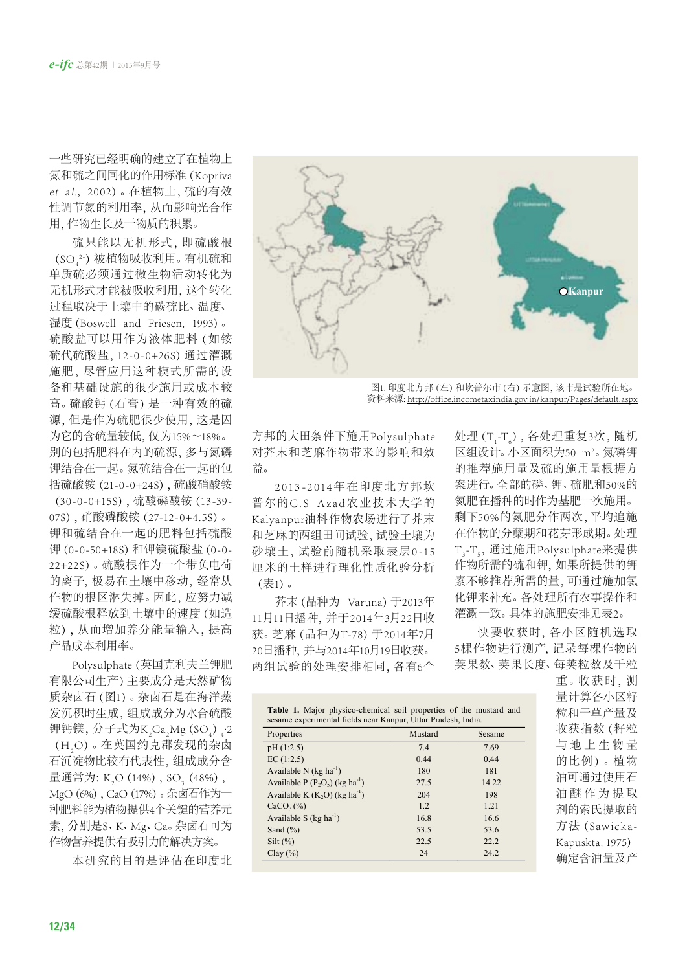一些研究已经明确的建立了在植物上 氮和硫之间同化的作用标准(Kopriva et al., 2002)。在植物上,硫的有效 性调节氮的利用率,从而影响光合作 用,作物生长及干物质的积累。

硫只能以无机形式, 即硫酸根 (SO --2)被植物吸收利用。 有机硫和 单质硫必须通过微生物活动转化为 无机形式才能被吸收利用,这个转化 过程取决于土壤中的碳硫比、温度、 湿度(Boswell and Friesen, 1993)。 硫酸盐可以用作为液体肥料 (如铵 硫代硫酸盐,12-0-0+26S)通过灌溉 施 肥,尽管应用这种模式 所需的设 备和基础设施的很少施用或成本较 高。硫酸钙(石膏)是一种有效的硫 源,但是作为硫肥很少使用,这是因 为它的含硫量较低,仅为15%~18%。 别的包括肥料在内的硫源,多与氮磷 钾结合在一起。氮硫结合在一起的包 括硫酸铵(21-0-0+24S),硫酸硝酸铵

(30-0-0+15S),硫酸磷酸铵(13-39- 07S),硝酸磷酸铵(27-12-0+4.5S)。 钾和硫结合在一起的肥料包括硫酸 钾(0-0-50+18S)和钾镁硫酸盐(0-0- 22+22S)。硫酸根作为一个带负电荷 的离子,极易在土壤中移动,经常从 作物的根区淋失掉。因此,应努力减 缓硫酸根释放到土壤中的速度(如造 粒),从而增加养分能量输入,提高 产品成本利用率。

Polysulphate(英国克利夫兰钾肥 有限公司生产)主要成分是天然矿物 质杂卤石(图1)。杂卤石是在海洋蒸 发沉积时生成,组成成分为水合硫酸 钾钙镁, 分子式为K<sub>2</sub>Ca<sub>2</sub>Mg (SO<sub>4</sub>) <sub>4</sub>·2 (H<sub>2</sub>O)。在英国约克郡发现的杂卤 石沉淀物比较有代表性,组成成分含 量通常为: K<sub>2</sub>O (14%) , SO<sub>3</sub> (48%) , MgO (6%), CaO (17%)。杂卤石作为一 种肥料能为植物提供4个关键的营养元 素,分别是S、K、Mg、Ca。杂卤石可为 作物营养提供有吸引力的解决方案。

本研究的目的是评 估在印度北



图1. 印度北方邦(左)和坎普尔市(右)示意图,该市是试验所在地。 资料来源:<http://office.incometaxindia.gov.in/kanpur/Pages/default.aspx>

方邦的大田条件下施用Polysulphate 对芥末和芝麻作物带来的影响和效 益。

2013-2014年在印度北方邦坎 普尔的C.S Azad农业技术大学的 Kalyanpur油料作物农场进行了芥末 和芝麻的两组田间试验,试验土壤为 砂壤土,试验前随机采取表层0-15 厘米的土样进行理化性质化验分析 (表1)。

芥末(品种为 Varuna)于2013年 11月11日播种,并于2014年3月22日收 获。芝麻(品种为T-78)于2014年7月 20日播种,并与2014年10月19日收获。 两组试验的处理安排相同,各有6个

处理 (T<sub>1</sub>-T<sub>6</sub>) , 各处理重复3次, 随机 区组设计。 小区面积为50 m<sup>2</sup>。 氮磷钾 的推荐施用量及硫的施用量根据方 案进行。全部的磷、钾、硫肥和50%的 氮肥在播种的时作为基肥一次施用。 剩下50%的氮肥分作两次,平均追施 在作物的分蘖期和花芽形成期。处理 T<sub>3</sub>-T<sub>5</sub>, 通过施用Polysulphate来提供 作物所需的硫和钾,如果所提供的钾 素不够推荐所需的量,可通过施加氯 化钾来补充。各处理所有农事操作和 灌溉一致。具体的施肥安排见表2。

快要收获时,各小区随机选取 5棵作物进行测产,记录每棵作物的 荚果数、荚果长度、每荚粒数及千粒

| Properties                                    | Mustard | Sesame |
|-----------------------------------------------|---------|--------|
| pH(1:2.5)                                     | 7.4     | 7.69   |
| EC(1:2.5)                                     | 0.44    | 0.44   |
| Available N $(kg ha^{-1})$                    | 180     | 181    |
| Available P $(P_2O_5)$ (kg ha <sup>-1</sup> ) | 27.5    | 14.22  |
| Available K $(K_2O)$ (kg ha <sup>-1</sup> )   | 204     | 198    |
| $CaCO3(\%)$                                   | 1.2     | 1.21   |
| Available S $(kg ha-1)$                       | 16.8    | 16.6   |
| Sand $(\% )$                                  | 53.5    | 53.6   |
| $Silt (\%)$                                   | 22.5    | 22.2   |
| Clay $(\% )$                                  | 24      | 24.2   |

重。收获时, 测 量计算各小区籽 粒和干草产量及 收获指数(籽粒 与地上生物量 的比例)。植物 油可通过使用石 油醚作为提取 剂的索氏提取的 方法 (Sawicka-Kapuskta, 1975) 确定含油量及产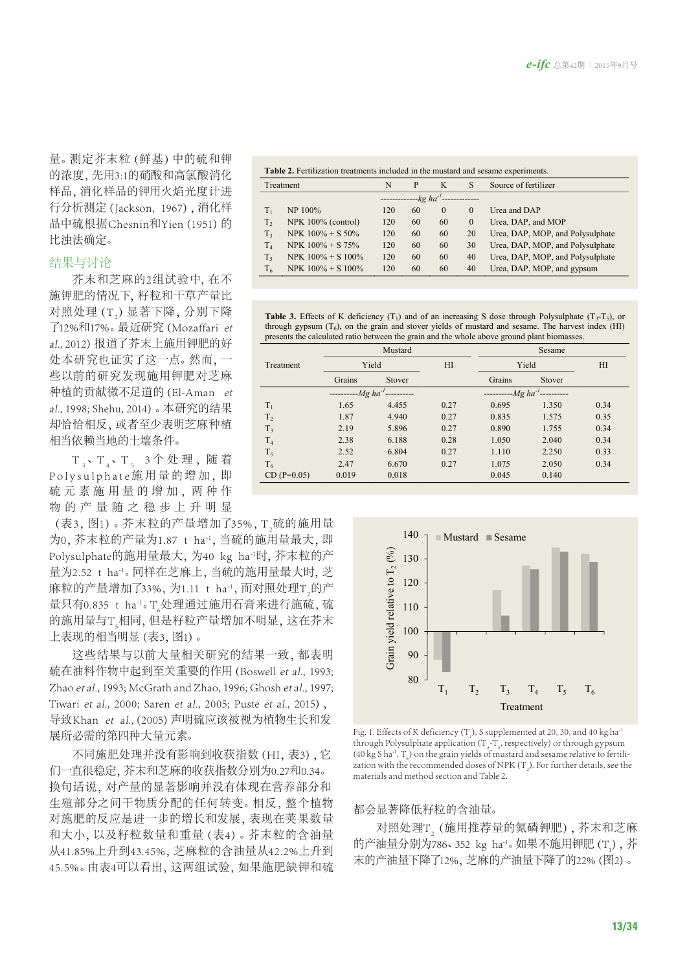量。测定芥末粒(鲜基)中的硫和钾 的浓度,先用3:1的硝酸和高氯酸消化 样品,消化样品的钾用火焰光度计进 行分析测定(Jackson, 1967),消化样 品中硫根据Chesnin和Yien (1951)的 比浊法确定。

### 结果与讨论

芥末和芝麻的2组试验中,在不 施钾肥的情况下,籽粒和干草产量比 对照处理  $\left( \mathrm{T}_{_{2}} \right)$  显著下降, 分别下降 了12%和17%。最近研究(Mozaffari et al., 2012)报道了芥末上施用钾肥的好 处本研究也证实了这一点。然而,一 些以前的研究发现施用钾肥对芝麻 种植的贡献微不足道的(El-Aman et al., 1998; Shehu, 2014)。本研究的结果 却恰恰相反,或者至少表明芝麻种植 相当依赖当地的土壤条件。

T、T、T、T、3个处理,随着 Polysulphate施用量的增加,即 硫元素施用量的增加,两种作 物的产 量 随 之 稳 步上 升明显

(表3,图1)。芥末粒的产量增加了35%, T<sub>2</sub>硫的施用量 为0, 芥末粒的产量为1.87 t ha<sup>-1</sup>, 当硫的施用量最大, 即 Polysulphate的施用量最大,为40 kg ha-1时,芥末粒的产 量为2.52 t ha<sup>-1</sup>。同样在芝麻上,当硫的施用量最大时,芝 麻粒的产量增加了33%, 为1.11 t ha<sup>-1</sup>, 而对照处理T<sub>2</sub>的产 量只有0.835 t ha<sup>-1</sup>。T<sub>6</sub>处理通过施用石膏来进行施硫,硫 的施用量与T<sub>s</sub>相同,但是籽粒产量增加不明显, 这在芥末 上表现的相当明显(表3,图1)。

这些结果与以前大量相关研究的结果一致,都表明 硫在油料作物中起到至关重要的作用(Boswell et al., 1993; Zhao et al., 1993; McGrath and Zhao, 1996; Ghosh et al., 1997; Tiwari et al., 2000; Saren et al., 2005; Puste et al., 2015), 导致Khan et al.,(2005)声明硫应该被视为植物生长和发 展所必需的第四种大量元素。

不同施肥处理并没有影响到收获指数(HI,表3),它 们一直很稳定,芥末和芝麻的收获指数分别为0.27和0.34。 换句话说,对产量的显著影响并没有体现在营养部分和 生殖部分之间干物质分配的任何转变。相反,整个植物 对施肥的反应是进一步的增长和发展,表现在荚果数量 和大小,以及籽粒数量和重量(表4)。芥末粒的含油量 从41.85%上升到43.45%,芝麻粒的含油量从42.2%上升到 45.5%。由表4可以看出,这两组试验,如果施肥缺钾和硫

| <b>Table 2.</b> Fertilization treatments included in the mustard and sesame experiments. |                       |     |                      |                |          |                                  |  |  |  |
|------------------------------------------------------------------------------------------|-----------------------|-----|----------------------|----------------|----------|----------------------------------|--|--|--|
| Treatment<br>$-$ P<br>N<br>$-$ K                                                         |                       | -S  | Source of fertilizer |                |          |                                  |  |  |  |
| $------kgha^{-1}$                                                                        |                       |     |                      |                |          |                                  |  |  |  |
| $T_{1}$                                                                                  | NP 100%               | 120 | 60 —                 | $\overline{0}$ | $\Omega$ | Urea and DAP                     |  |  |  |
| $T_{2}$                                                                                  | $NPK 100\%$ (control) | 120 | 60                   | 60             | $\sim 0$ | Urea, DAP, and MOP               |  |  |  |
| $T_3$                                                                                    | $NPK 100\% + S 50\%$  | 120 | 60                   | 60             | 20       | Urea, DAP, MOP, and Polysulphate |  |  |  |

 $T_4$  NPK 100% + S 75% 120 60 60 30 Urea, DAP, MOP, and Polysulphate  $T_5$  NPK 100% + S 100% 120 60 60 40 Urea, DAP, MOP, and Polysulphate  $T_6$  NPK 100% + S 100% 120 60 60 40 Urea, DAP, MOP, and gypsum

**Table 3.** Effects of K deficiency  $(T_1)$  and of an increasing S dose through Polysulphate  $(T_3-T_5)$ , or through gypsum  $(T_6)$ , on the grain and stover yields of mustard and sesame. The harvest index (HI) presents the calculated ratio between the grain and the whole above ground plant biomasse

|                | Mustard |                   |      | Sesame            |        |      |  |
|----------------|---------|-------------------|------|-------------------|--------|------|--|
| Treatment      | Yield   |                   | H1   | Yield             | H1     |      |  |
|                | Grains  | Stover            |      | Grains            | Stover |      |  |
|                |         | $-----Mg ha^{-1}$ |      | $-----Mg ha^{-1}$ |        |      |  |
| $T_1$          | 1.65    | 4.455             | 0.27 | 0.695             | 1.350  | 0.34 |  |
| T <sub>2</sub> | 1.87    | 4.940             | 0.27 | 0.835             | 1.575  | 0.35 |  |
| T <sub>3</sub> | 2.19    | 5.896             | 0.27 | 0.890             | 1.755  | 0.34 |  |
| T <sub>4</sub> | 2.38    | 6.188             | 0.28 | 1.050             | 2.040  | 0.34 |  |
| $T_5$          | 2.52    | 6.804             | 0.27 | 1.110             | 2.250  | 0.33 |  |
| T <sub>6</sub> | 2.47    | 6.670             | 0.27 | 1.075             | 2.050  | 0.34 |  |
| $CD (P=0.05)$  | 0.019   | 0.018             |      | 0.045             | 0.140  |      |  |



Fig. 1. Effects of K deficiency (T<sub>1</sub>), S supplemented at 20, 30, and 40 kg ha<sup>-1</sup> through Polysulphate application ( $T_{3}$ - $T_{5}$ , respectively) or through gypsum (40 kg S ha<sup>-1</sup>, T<sub>6</sub>) on the grain yields of mustard and sesame relative to fertilization with the recommended doses of NPK  $(T_2)$ . For further details, see the materials and method section and Table 2.

#### 都会显著降低籽粒的含油量。

对照处理T<sub>2</sub> (施用推荐量的氮磷钾肥) , 芥末和芝麻 的产油量分别为786、352 kg ha<sup>-1</sup>。如果不施用钾肥(T<sub>1</sub>),芥 末的产油量下降了12%,芝麻的产油量下降了的22%(图2)。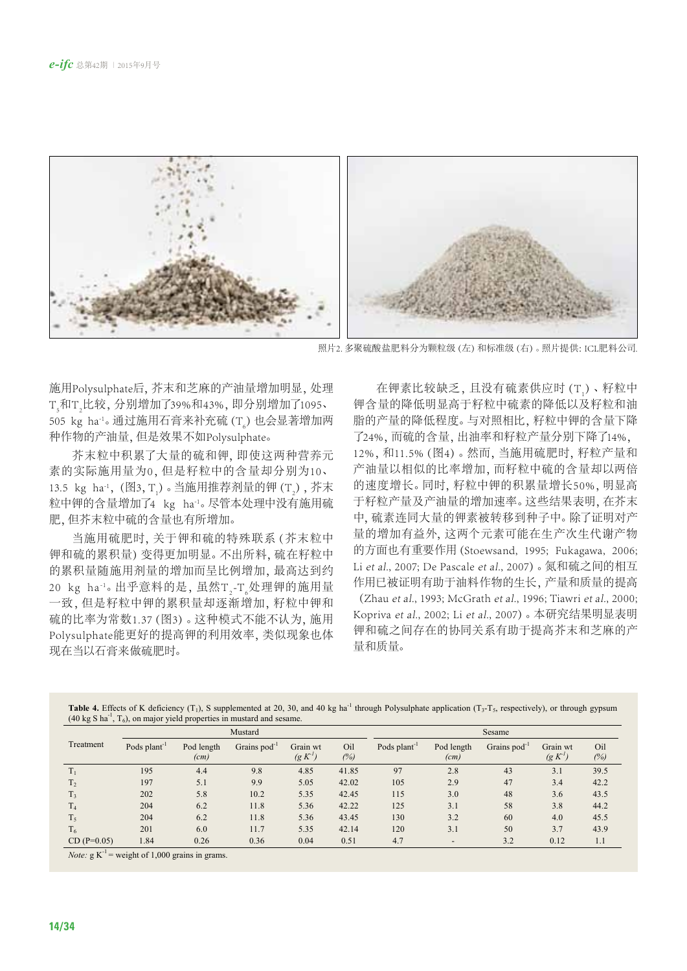

照片2. 多聚硫酸盐肥料分为颗粒级(左)和标准级(右)。照片提供: ICL肥料公司.

施用Polysulphate后,芥末和芝麻的产油量增加明显,处理 T<sub>,</sub>和T<sub>,</sub>比较, 分别增加了39%和43%, 即分别增加了1095、 505 kg ha<sup>-ı</sup>。通过施用石膏来补充硫 (T<sub>。</sub>) 也会显著增加两 种作物的产油量,但是效果不如Polysulphate。

芥末粒中积累了大量的硫和钾,即使这两种营养元 素的实际施用量为0,但是籽粒中的含量却分别为10、 13.5 kg ha<sup>-1</sup>, (图3, T<sub>1</sub>)。当施用推荐剂量的钾 (T<sub>2</sub>),芥末 粒中钾的含量增加了4 kg ha-1。尽管本处理中没有施用硫 肥,但芥末粒中硫的含量也有所增加。

当施用硫肥时,关于钾和硫的特殊联系(芥末粒中 钾和硫的累积量)变得更加明显。不出所料,硫在籽粒中 的累积量随施用剂量的增加而呈比例增加,最高达到约 20 kg ha<sup>-1</sup>。出乎意料的是,虽然T<sub>2</sub>-T<sub>6</sub>处理钾的施用量 一致,但是籽粒中钾的累积量却逐渐增加,籽粒中钾和 硫的比率为常数1.37(图3)。这种模式不能不认为,施用 Polysulphate能更好的提高钾的利用效率,类似现象也体 现在当以石膏来做硫肥时。

在钾素比较缺乏,且没有硫素供应时 (T<sub>1</sub>)、籽粒中 钾含量的降低明显高于籽粒中硫素的降低以及籽粒和油 脂的产量的降低程度。与对照相比,籽粒中钾的含量下降 了24%,而硫的含量,出油率和籽粒产量分别下降了14%, 12%,和11.5%(图4)。然而,当施用硫肥时,籽粒产量和 产油量以相似的比率增加,而籽粒中硫的含量却以两倍 的速度增长。同时,籽粒中钾的积累量增长50%,明显高 于籽粒产量及产油量的增加速率。这些结果表明,在芥末 中,硫素连同大量的钾素被转移到种子中。除了证明对产 量的增加有益外,这两个元素可能在生产次生代谢产物 的方面也有重要作用(Stoewsand, 1995; Fukagawa, 2006; Li et al., 2007; De Pascale et al., 2007)。氮和硫之间的相互 作用已被证明有助于油料作物的生长,产量和质量的提高

(Zhau et al., 1993; McGrath et al., 1996; Tiawri et al., 2000; Kopriva et al., 2002; Li et al., 2007)。本研究结果明显表明 钾和硫之间存在的协同关系有助于提高芥末和芝麻的产 量和质量。

|                | Mustard                  |                    |                          |                                 | Sesame     |                          |                    |                   |                                 |            |
|----------------|--------------------------|--------------------|--------------------------|---------------------------------|------------|--------------------------|--------------------|-------------------|---------------------------------|------------|
| Treatment      | Pods plant <sup>-1</sup> | Pod length<br>(cm) | Grains pod <sup>-1</sup> | Grain wt<br>(g K <sup>1</sup> ) | Oil<br>(%) | Pods plant <sup>-1</sup> | Pod length<br>(cm) | Grains $pod^{-1}$ | Grain wt<br>(g K <sup>1</sup> ) | Oil<br>(%) |
|                | 195                      | 4.4                | 9.8                      | 4.85                            | 41.85      | 97                       | 2.8                | 43                | 3.1                             | 39.5       |
| T,             | 197                      | 5.1                | 9.9                      | 5.05                            | 42.02      | 105                      | 2.9                | 47                | 3.4                             | 42.2       |
| T,             | 202                      | 5.8                | 10.2                     | 5.35                            | 42.45      | 115                      | 3.0                | 48                | 3.6                             | 43.5       |
| T <sub>4</sub> | 204                      | 6.2                | 11.8                     | 5.36                            | 42.22      | 125                      | 3.1                | 58                | 3.8                             | 44.2       |
| T <sub>5</sub> | 204                      | 6.2                | 11.8                     | 5.36                            | 43.45      | 130                      | 3.2                | 60                | 4.0                             | 45.5       |
| T <sub>6</sub> | 201                      | 6.0                | 11.7                     | 5.35                            | 42.14      | 120                      | 3.1                | 50                | 3.7                             | 43.9       |
| $CD (P=0.05)$  | 1.84                     | 0.26               | 0.36                     | 0.04                            | 0.51       | 4.7                      |                    | 3.2               | 0.12                            | 1.1        |

**Table 4.** Effects of K deficiency (T<sub>1</sub>), S supplemented at 20, 30, and 40 kg ha<sup>-1</sup> through Polysulphate application (T<sub>3</sub>-T<sub>5</sub>, respectively), or through gypsum  $(40 \text{ kg S ha}^{-1})$ ,  $T<sub>6</sub>$ ), on major yield properties in mustard and sesame.

*Note:*  $g K^{-1}$  = weight of 1,000 grains in grams.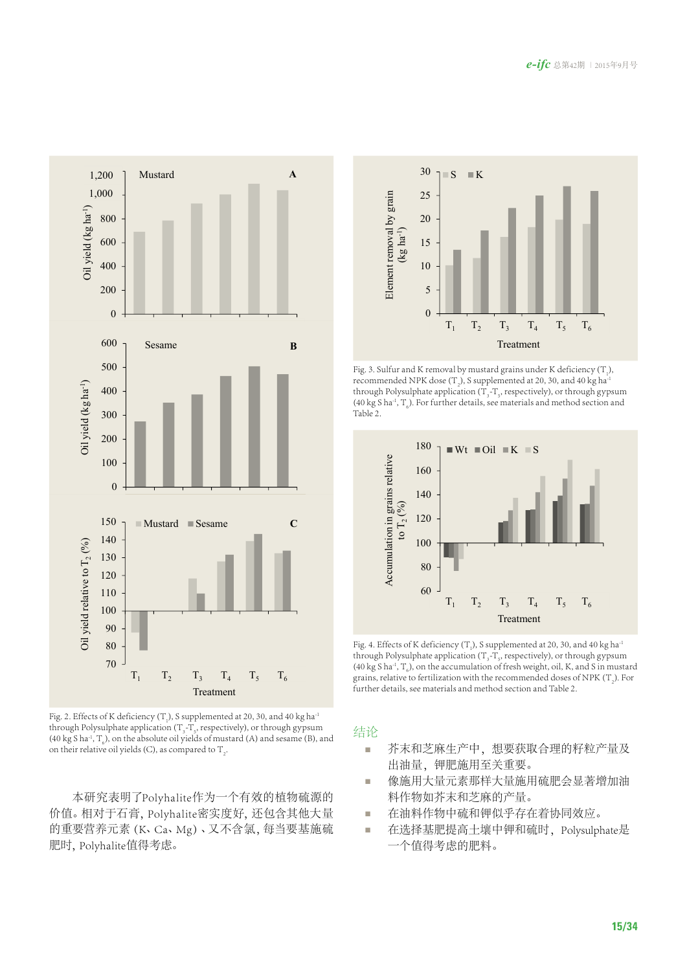

Fig. 2. Effects of K deficiency (T<sub>1</sub>), S supplemented at 20, 30, and 40 kg ha<sup>-1</sup> through Polysulphate application ( $T_{3}$ - $T_{5}$ , respectively), or through gypsum (40 kg S ha<sup>-1</sup>,  $T_6$ ), on the absolute oil yields of mustard (A) and sesame (B), and on their relative oil yields (C), as compared to  $\mathrm{T}_2$ .

本研究表明了Polyhalite作为一个有效的植物硫源的 价值。相对于石膏,Polyhalite密实度好,还包含其他大量 的重要营养元素(K、Ca、Mg)、又不含氯,每当要基施硫 肥时,Polyhalite值得考虑。



Fig. 3. Sulfur and K removal by mustard grains under K deficiency  $(T_1)$ , recommended NPK dose (T<sub>2</sub>), S supplemented at 20, 30, and 40 kg ha<sup>-1</sup> through Polysulphate application ( $T_{3}$ - $T_{5}$ , respectively), or through gypsum (40 kg S ha<sup>-1</sup>, T<sub>6</sub>). For further details, see materials and method section and Table 2.



Fig. 4. Effects of K deficiency (T<sub>1</sub>), S supplemented at 20, 30, and 40 kg ha<sup>-1</sup> through Polysulphate application ( $T_{3}$ - $T_{5}$ , respectively), or through gypsum (40 kg S ha<sup>-1</sup>, T<sub>6</sub>), on the accumulation of fresh weight, oil, K, and S in mustard grains, relative to fertilization with the recommended doses of NPK (T<sub>2</sub>). For further details, see materials and method section and Table 2.

# 结论

- 芥末和芝麻生产中,想要获取合理的籽粒产量及 出油量, 钾肥施用至关重要。
- 像施用大量元素那样大量施用硫肥会显著增加油 料作物如芥末和芝麻的产量。
- 在油料作物中硫和钾似乎存在着协同效应。
- 在选择基肥提高土壤中钾和硫时,Polysulphate是 一个值得考虑的肥料。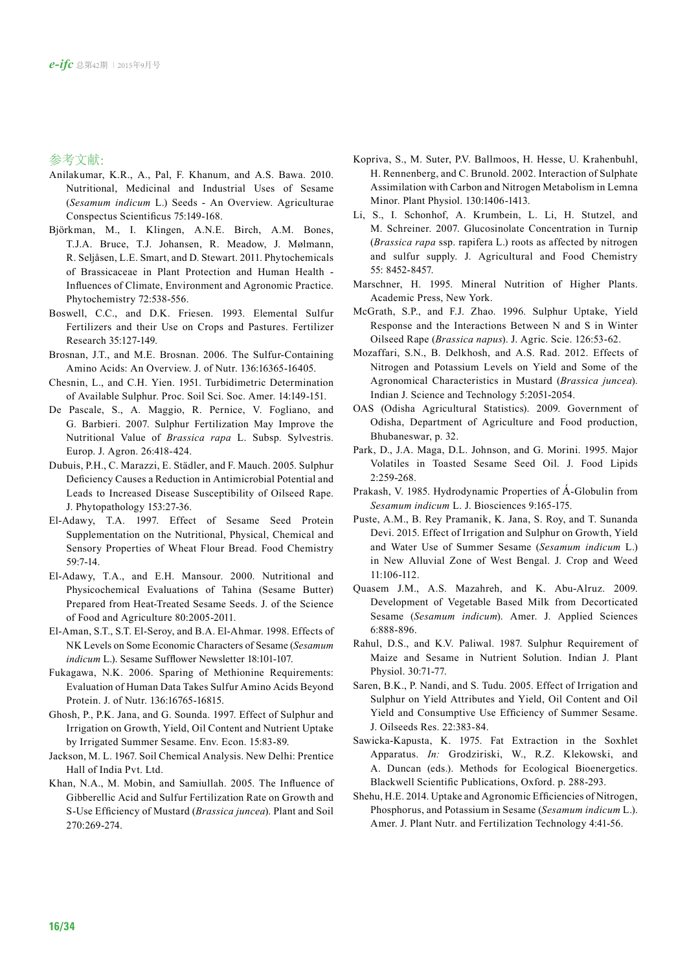参考文献:

- Anilakumar, K.R., A., Pal, F. Khanum, and A.S. Bawa. 2010. Nutritional, Medicinal and Industrial Uses of Sesame (*Sesamum indicum* L.) Seeds - An Overview. Agriculturae Conspectus Scientificus 75:149-168.
- Björkman, M., I. Klingen, A.N.E. Birch, A.M. Bones, T.J.A. Bruce, T.J. Johansen, R. Meadow, J. Mølmann, R. Seljåsen, L.E. Smart, and D. Stewart. 2011. Phytochemicals of Brassicaceae in Plant Protection and Human Health - Influences of Climate, Environment and Agronomic Practice. Phytochemistry 72:538-556.
- Boswell, C.C., and D.K. Friesen. 1993. Elemental Sulfur Fertilizers and their Use on Crops and Pastures. Fertilizer Research 35:127-149.
- Brosnan, J.T., and M.E. Brosnan. 2006. The Sulfur-Containing Amino Acids: An Overview. J. of Nutr. 136:16365-16405.
- Chesnin, L., and C.H. Yien. 1951. Turbidimetric Determination of Available Sulphur. Proc. Soil Sci. Soc. Amer. 14:149-151.
- De Pascale, S., A. Maggio, R. Pernice, V. Fogliano, and G. Barbieri. 2007. Sulphur Fertilization May Improve the Nutritional Value of *Brassica rapa* L. Subsp. Sylvestris. Europ. J. Agron. 26:418-424.
- Dubuis, P.H., C. Marazzi, E. Städler, and F. Mauch. 2005. Sulphur Deficiency Causes a Reduction in Antimicrobial Potential and Leads to Increased Disease Susceptibility of Oilseed Rape. J. Phytopathology 153:27-36.
- El-Adawy, T.A. 1997. Effect of Sesame Seed Protein Supplementation on the Nutritional, Physical, Chemical and Sensory Properties of Wheat Flour Bread. Food Chemistry 59:7-14.
- El-Adawy, T.A., and E.H. Mansour. 2000. Nutritional and Physicochemical Evaluations of Tahina (Sesame Butter) Prepared from Heat-Treated Sesame Seeds. J. of the Science of Food and Agriculture 80:2005-2011.
- El-Aman, S.T., S.T. El-Seroy, and B.A. El-Ahmar. 1998. Effects of NK Levels on Some Economic Characters of Sesame (*Sesamum indicum* L.). Sesame Sufflower Newsletter 18:101-107.
- Fukagawa, N.K. 2006. Sparing of Methionine Requirements: Evaluation of Human Data Takes Sulfur Amino Acids Beyond Protein. J. of Nutr. 136:16765-16815.
- Ghosh, P., P.K. Jana, and G. Sounda. 1997. Effect of Sulphur and Irrigation on Growth, Yield, Oil Content and Nutrient Uptake by Irrigated Summer Sesame. Env. Econ. 15:83-89.
- Jackson, M. L. 1967. Soil Chemical Analysis. New Delhi: Prentice Hall of India Pvt. Ltd.
- Khan, N.A., M. Mobin, and Samiullah. 2005. The Influence of Gibberellic Acid and Sulfur Fertilization Rate on Growth and S-Use Efficiency of Mustard (*Brassica juncea*). Plant and Soil 270:269-274.
- Kopriva, S., M. Suter, P.V. Ballmoos, H. Hesse, U. Krahenbuhl, H. Rennenberg, and C. Brunold. 2002. Interaction of Sulphate Assimilation with Carbon and Nitrogen Metabolism in Lemna Minor. Plant Physiol. 130:1406-1413.
- Li, S., I. Schonhof, A. Krumbein, L. Li, H. Stutzel, and M. Schreiner. 2007. Glucosinolate Concentration in Turnip (*Brassica rapa* ssp. rapifera L.) roots as affected by nitrogen and sulfur supply. J. Agricultural and Food Chemistry 55: 8452-8457.
- Marschner, H. 1995. Mineral Nutrition of Higher Plants. Academic Press, New York.
- McGrath, S.P., and F.J. Zhao. 1996. Sulphur Uptake, Yield Response and the Interactions Between N and S in Winter Oilseed Rape (*Brassica napus*). J. Agric. Scie. 126:53-62.
- Mozaffari, S.N., B. Delkhosh, and A.S. Rad. 2012. Effects of Nitrogen and Potassium Levels on Yield and Some of the Agronomical Characteristics in Mustard (*Brassica juncea*). Indian J. Science and Technology 5:2051-2054.
- OAS (Odisha Agricultural Statistics). 2009. Government of Odisha, Department of Agriculture and Food production, Bhubaneswar, p. 32.
- Park, D., J.A. Maga, D.L. Johnson, and G. Morini. 1995. Major Volatiles in Toasted Sesame Seed Oil. J. Food Lipids 2:259-268.
- Prakash, V. 1985. Hydrodynamic Properties of Á-Globulin from *Sesamum indicum* L. J. Biosciences 9:165-175.
- Puste, A.M., B. Rey Pramanik, K. Jana, S. Roy, and T. Sunanda Devi. 2015. Effect of Irrigation and Sulphur on Growth, Yield and Water Use of Summer Sesame (*Sesamum indicum* L.) in New Alluvial Zone of West Bengal. J. Crop and Weed 11:106-112.
- Quasem J.M., A.S. Mazahreh, and K. Abu-Alruz. 2009. Development of Vegetable Based Milk from Decorticated Sesame (*Sesamum indicum*). Amer. J. Applied Sciences 6:888-896.
- Rahul, D.S., and K.V. Paliwal. 1987. Sulphur Requirement of Maize and Sesame in Nutrient Solution. Indian J. Plant Physiol. 30:71-77.
- Saren, B.K., P. Nandi, and S. Tudu. 2005. Effect of Irrigation and Sulphur on Yield Attributes and Yield, Oil Content and Oil Yield and Consumptive Use Efficiency of Summer Sesame. J. Oilseeds Res. 22:383-84.
- Sawicka-Kapusta, K. 1975. Fat Extraction in the Soxhlet Apparatus. *In:* Grodziriski, W., R.Z. Klekowski, and A. Duncan (eds.). Methods for Ecological Bioenergetics. Blackwell Scientific Publications, Oxford. p. 288-293.
- Shehu, H.E. 2014. Uptake and Agronomic Efficiencies of Nitrogen, Phosphorus, and Potassium in Sesame (*Sesamum indicum* L.). Amer. J. Plant Nutr. and Fertilization Technology 4:41-56.